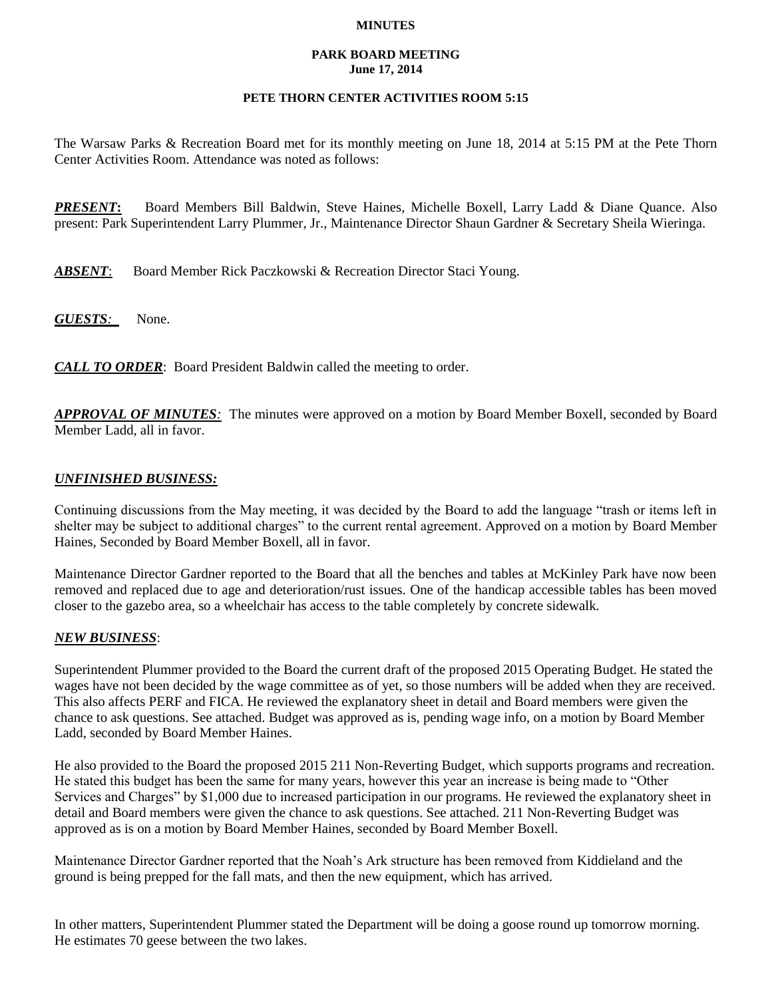#### **MINUTES**

#### **PARK BOARD MEETING June 17, 2014**

# **PETE THORN CENTER ACTIVITIES ROOM 5:15**

The Warsaw Parks & Recreation Board met for its monthly meeting on June 18, 2014 at 5:15 PM at the Pete Thorn Center Activities Room. Attendance was noted as follows:

*PRESENT***:** Board Members Bill Baldwin, Steve Haines, Michelle Boxell, Larry Ladd & Diane Quance. Also present: Park Superintendent Larry Plummer, Jr., Maintenance Director Shaun Gardner & Secretary Sheila Wieringa.

*ABSENT*: Board Member Rick Paczkowski & Recreation Director Staci Young.

*GUESTS:*None.

*CALL TO ORDER*: Board President Baldwin called the meeting to order.

*APPROVAL OF MINUTES:* The minutes were approved on a motion by Board Member Boxell, seconded by Board Member Ladd, all in favor.

# *UNFINISHED BUSINESS:*

Continuing discussions from the May meeting, it was decided by the Board to add the language "trash or items left in shelter may be subject to additional charges" to the current rental agreement. Approved on a motion by Board Member Haines, Seconded by Board Member Boxell, all in favor.

Maintenance Director Gardner reported to the Board that all the benches and tables at McKinley Park have now been removed and replaced due to age and deterioration/rust issues. One of the handicap accessible tables has been moved closer to the gazebo area, so a wheelchair has access to the table completely by concrete sidewalk.

### *NEW BUSINESS*:

Superintendent Plummer provided to the Board the current draft of the proposed 2015 Operating Budget. He stated the wages have not been decided by the wage committee as of yet, so those numbers will be added when they are received. This also affects PERF and FICA. He reviewed the explanatory sheet in detail and Board members were given the chance to ask questions. See attached. Budget was approved as is, pending wage info, on a motion by Board Member Ladd, seconded by Board Member Haines.

He also provided to the Board the proposed 2015 211 Non-Reverting Budget, which supports programs and recreation. He stated this budget has been the same for many years, however this year an increase is being made to "Other Services and Charges" by \$1,000 due to increased participation in our programs. He reviewed the explanatory sheet in detail and Board members were given the chance to ask questions. See attached. 211 Non-Reverting Budget was approved as is on a motion by Board Member Haines, seconded by Board Member Boxell.

Maintenance Director Gardner reported that the Noah's Ark structure has been removed from Kiddieland and the ground is being prepped for the fall mats, and then the new equipment, which has arrived.

In other matters, Superintendent Plummer stated the Department will be doing a goose round up tomorrow morning. He estimates 70 geese between the two lakes.